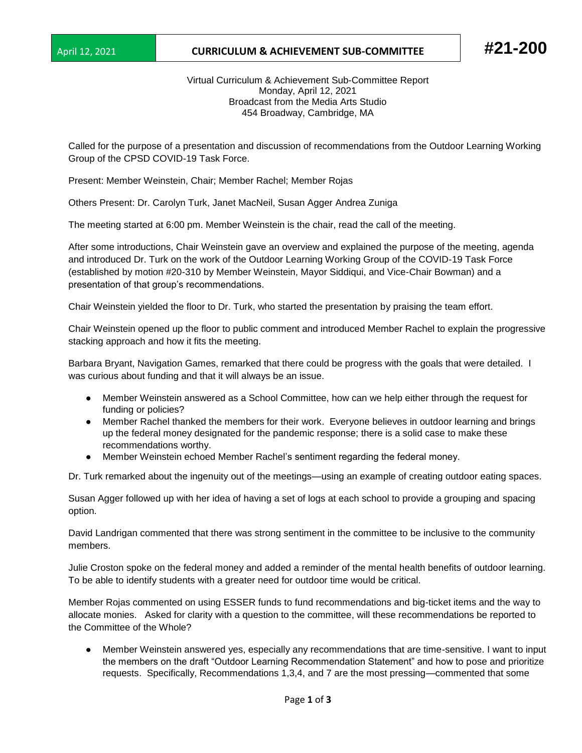## April 12, 2021 **CURRICULUM & ACHIEVEMENT SUB-COMMITTEE #21-200**

Virtual Curriculum & Achievement Sub-Committee Report Monday, April 12, 2021 Broadcast from the Media Arts Studio 454 Broadway, Cambridge, MA

Called for the purpose of a presentation and discussion of recommendations from the Outdoor Learning Working Group of the CPSD COVID-19 Task Force.

Present: Member Weinstein, Chair; Member Rachel; Member Rojas

Others Present: Dr. Carolyn Turk, Janet MacNeil, Susan Agger Andrea Zuniga

The meeting started at 6:00 pm. Member Weinstein is the chair, read the call of the meeting.

After some introductions, Chair Weinstein gave an overview and explained the purpose of the meeting, agenda and introduced Dr. Turk on the work of the Outdoor Learning Working Group of the COVID-19 Task Force (established by motion #20-310 by Member Weinstein, Mayor Siddiqui, and Vice-Chair Bowman) and a presentation of that group's recommendations.

Chair Weinstein yielded the floor to Dr. Turk, who started the presentation by praising the team effort.

Chair Weinstein opened up the floor to public comment and introduced Member Rachel to explain the progressive stacking approach and how it fits the meeting.

Barbara Bryant, Navigation Games, remarked that there could be progress with the goals that were detailed. I was curious about funding and that it will always be an issue.

- Member Weinstein answered as a School Committee, how can we help either through the request for funding or policies?
- Member Rachel thanked the members for their work. Everyone believes in outdoor learning and brings up the federal money designated for the pandemic response; there is a solid case to make these recommendations worthy.
- Member Weinstein echoed Member Rachel's sentiment regarding the federal money.

Dr. Turk remarked about the ingenuity out of the meetings—using an example of creating outdoor eating spaces.

Susan Agger followed up with her idea of having a set of logs at each school to provide a grouping and spacing option.

David Landrigan commented that there was strong sentiment in the committee to be inclusive to the community members.

Julie Croston spoke on the federal money and added a reminder of the mental health benefits of outdoor learning. To be able to identify students with a greater need for outdoor time would be critical.

Member Rojas commented on using ESSER funds to fund recommendations and big-ticket items and the way to allocate monies. Asked for clarity with a question to the committee, will these recommendations be reported to the Committee of the Whole?

Member Weinstein answered yes, especially any recommendations that are time-sensitive. I want to input the members on the draft "Outdoor Learning Recommendation Statement" and how to pose and prioritize requests. Specifically, Recommendations 1,3,4, and 7 are the most pressing—commented that some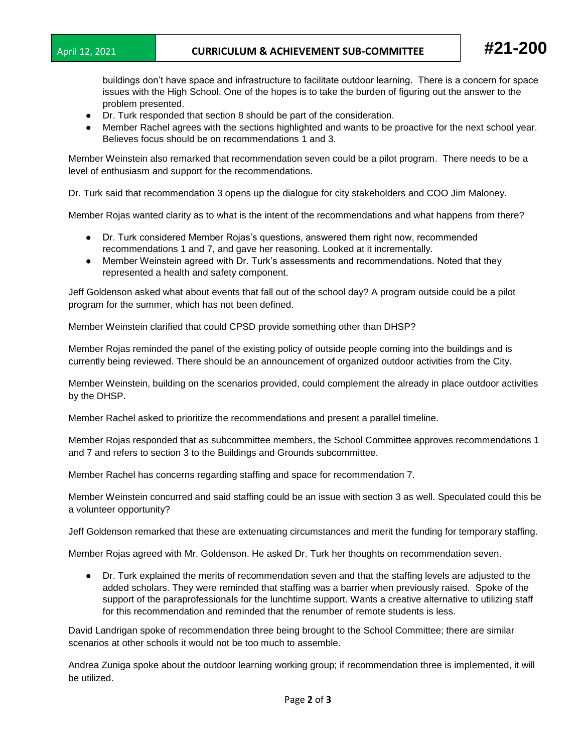buildings don't have space and infrastructure to facilitate outdoor learning. There is a concern for space issues with the High School. One of the hopes is to take the burden of figuring out the answer to the problem presented.

- Dr. Turk responded that section 8 should be part of the consideration.
- Member Rachel agrees with the sections highlighted and wants to be proactive for the next school year. Believes focus should be on recommendations 1 and 3.

Member Weinstein also remarked that recommendation seven could be a pilot program. There needs to be a level of enthusiasm and support for the recommendations.

Dr. Turk said that recommendation 3 opens up the dialogue for city stakeholders and COO Jim Maloney.

Member Rojas wanted clarity as to what is the intent of the recommendations and what happens from there?

- Dr. Turk considered Member Rojas's questions, answered them right now, recommended recommendations 1 and 7, and gave her reasoning. Looked at it incrementally.
- Member Weinstein agreed with Dr. Turk's assessments and recommendations. Noted that they represented a health and safety component.

Jeff Goldenson asked what about events that fall out of the school day? A program outside could be a pilot program for the summer, which has not been defined.

Member Weinstein clarified that could CPSD provide something other than DHSP?

Member Rojas reminded the panel of the existing policy of outside people coming into the buildings and is currently being reviewed. There should be an announcement of organized outdoor activities from the City.

Member Weinstein, building on the scenarios provided, could complement the already in place outdoor activities by the DHSP.

Member Rachel asked to prioritize the recommendations and present a parallel timeline.

Member Rojas responded that as subcommittee members, the School Committee approves recommendations 1 and 7 and refers to section 3 to the Buildings and Grounds subcommittee.

Member Rachel has concerns regarding staffing and space for recommendation 7.

Member Weinstein concurred and said staffing could be an issue with section 3 as well. Speculated could this be a volunteer opportunity?

Jeff Goldenson remarked that these are extenuating circumstances and merit the funding for temporary staffing.

Member Rojas agreed with Mr. Goldenson. He asked Dr. Turk her thoughts on recommendation seven.

● Dr. Turk explained the merits of recommendation seven and that the staffing levels are adjusted to the added scholars. They were reminded that staffing was a barrier when previously raised. Spoke of the support of the paraprofessionals for the lunchtime support. Wants a creative alternative to utilizing staff for this recommendation and reminded that the renumber of remote students is less.

David Landrigan spoke of recommendation three being brought to the School Committee; there are similar scenarios at other schools it would not be too much to assemble.

Andrea Zuniga spoke about the outdoor learning working group; if recommendation three is implemented, it will be utilized.